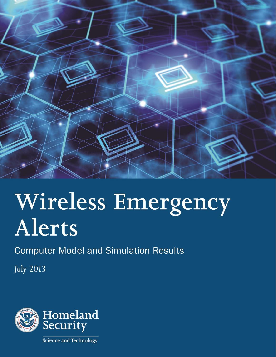

# Wireless Emergency **Alerts**

**Computer Model and Simulation Results** 

**July 2013** 

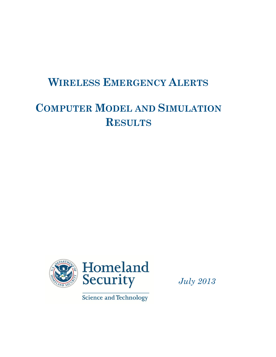# **WIRELESS EMERGENCY ALERTS**

# **COMPUTER MODEL AND SIMULATION RESULTS**



Science and Technology

*July 2013*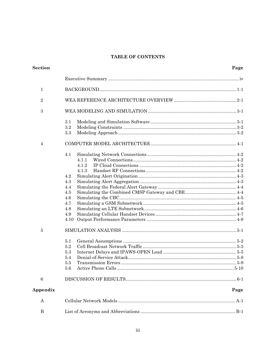### TABLE OF CONTENTS

| <b>Section</b>   |       | Page |
|------------------|-------|------|
|                  |       |      |
| $\mathbf{1}$     |       |      |
| $\sqrt{2}$       |       |      |
| $\sqrt{3}$       |       |      |
|                  | 3.1   |      |
|                  | 3.2   |      |
|                  | 3.3   |      |
| $\overline{4}$   |       |      |
|                  | 4.1   |      |
|                  | 4.1.1 |      |
|                  | 4.1.2 |      |
|                  | 4.1.3 |      |
|                  | 4.2   |      |
|                  | 4.3   |      |
|                  | 4.4   |      |
|                  | 4.5   |      |
|                  | 4.6   |      |
|                  | 4.7   |      |
|                  | 4.8   |      |
|                  | 4.9   |      |
|                  | 4.10  |      |
| 5                |       |      |
|                  | 5.1   |      |
|                  | 5.2   |      |
|                  | 5.3   |      |
|                  | 5.4   |      |
|                  | 5.5   |      |
|                  | 5.6   |      |
| $\boldsymbol{6}$ |       |      |
| Appendix         |       | Page |
| A                |       |      |
| B                |       |      |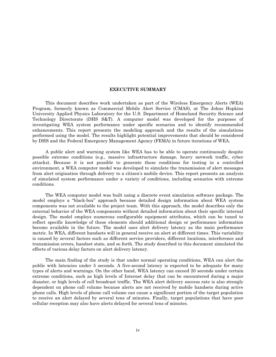#### **EXECUTIVE SUMMARY**

<span id="page-3-0"></span>This document describes work undertaken as part of the Wireless Emergency Alerts (WEA) Program, formerly known as Commercial Mobile Alert Service (CMAS), at The Johns Hopkins University Applied Physics Laboratory for the U.S. Department of Homeland Security Science and Technology Directorate (DHS S&T). A computer model was developed for the purposes of investigating WEA system performance under specific scenarios and to identify recommended enhancements. This report presents the modeling approach and the results of the simulations performed using the model. The results highlight potential improvements that should be considered by DHS and the Federal Emergency Management Agency (FEMA) in future iterations of WEA.

A public alert and warning system like WEA has to be able to operate continuously despite possible extreme conditions (e.g., massive infrastructure damage, heavy network traffic, cyber attacks). Because it is not possible to generate these conditions for testing in a controlled environment, a WEA computer model was developed to simulate the transmission of alert messages from alert origination through delivery to a citizen's mobile device. This report presents an analysis of simulated system performance under a variety of conditions, including scenarios with extreme conditions.

The WEA computer model was built using a discrete event simulation software package. The model employs a "black-box" approach because detailed design information about WEA system components was not available to the project team. With this approach, the model describes only the external behavior of the WEA components without detailed information about their specific internal design. The model employs numerous configurable equipment attributes, which can be tuned to reflect specific knowledge of these elements should additional design or performance information become available in the future. The model uses alert delivery latency as the main performance metric. In WEA, different handsets will in general receive an alert at different times. This variability is caused by several factors such as different service providers, different locations, interference and transmission errors, handset state, and so forth. The study described in this document simulated the effects of various delay factors on alert delivery latency.

The main finding of the study is that under normal operating conditions, WEA can alert the public with latencies under 5 seconds. A five-second latency is expected to be adequate for many types of alerts and warnings. On the other hand, WEA latency can exceed 20 seconds under certain extreme conditions, such as high levels of Internet delay that can be encountered during a major disaster, or high levels of cell broadcast traffic. The WEA alert delivery success rate is also strongly dependent on phone call volume because alerts are not received by mobile handsets during active phone calls. High levels of phone call volume can cause a significant portion of the target population to receive an alert delayed by several tens of minutes. Finally, target populations that have poor cellular reception may also have alerts delayed for several tens of minutes.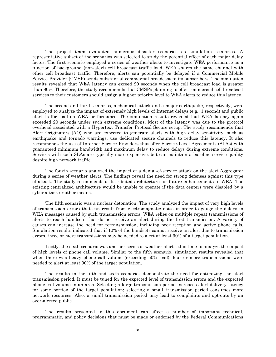The project team evaluated numerous disaster scenarios as simulation scenarios. A representative subset of the scenarios was selected to study the potential effect of each major delay factor. The first scenario employed a series of weather alerts to investigate WEA performance as a function of background (non-alert) cell broadcast traffic load. WEA shares the same channel with other cell broadcast traffic. Therefore, alerts can potentially be delayed if a Commercial Mobile Service Provider (CMSP) sends substantial commercial broadcast to its subscribers. The simulation results revealed that WEA latency can exceed 20 seconds when the cell broadcast load is greater than 80%. Therefore, the study recommends that CMSPs planning to offer commercial cell broadcast services to their customers should assign a higher priority level to WEA alerts to reduce this latency.

The second and third scenarios, a chemical attack and a major earthquake, respectively, were employed to analyze the impact of extremely high levels of Internet delays (e.g., 1 second) and public alert traffic load on WEA performance. The simulation results revealed that WEA latency again exceeded 20 seconds under such extreme conditions. Most of the latency was due to the protocol overhead associated with a Hypertext Transfer Protocol Secure setup. The study recommends that Alert Originators (AO) who are expected to generate alerts with high delay sensitivity, such as earthquake and tornado warnings, use dedicated secure channels to reduce this latency. It also recommends the use of Internet Service Providers that offer Service-Level Agreements (SLAs) with guaranteed minimum bandwidth and maximum delay to reduce delays during extreme conditions. Services with such SLAs are typically more expensive, but can maintain a baseline service quality despite high network traffic.

The fourth scenario analyzed the impact of a denial-of-service attack on the alert Aggregator during a series of weather alerts. The findings reveal the need for strong defenses against this type of attack. The study recommends a distributed architecture for future enhancements to WEA. The existing centralized architecture would be unable to operate if the data centers were disabled by a cyber attack or other means.

The fifth scenario was a nuclear detonation. The study analyzed the impact of very high levels of transmission errors that can result from electromagnetic noise in order to gauge the delays in WEA messages caused by such transmission errors. WEA relies on multiple repeat transmissions of alerts to reach handsets that do not receive an alert during the first transmission. A variety of causes can increase the need for retransmission, including poor reception and active phone calls. Simulation results indicated that if 10% of the handsets cannot receive an alert due to transmission errors, three or more transmissions may be needed to alert at least 90% of a target population.

Lastly, the sixth scenario was another series of weather alerts, this time to analyze the impact of high levels of phone call volume. Similar to the fifth scenario, simulation results revealed that when there was heavy phone call volume (exceeding 50% load), four or more transmissions were needed to alert at least 90% of the target population.

The results in the fifth and sixth scenarios demonstrate the need for optimizing the alert transmission period. It must be tuned for the expected level of transmission errors and the expected phone call volume in an area. Selecting a large transmission period increases alert delivery latency for some portion of the target population; selecting a small transmission period consumes more network resources. Also, a small transmission period may lead to complaints and opt-outs by an over-alerted public.

The results presented in this document can affect a number of important technical, programmatic, and policy decisions that must be made or endorsed by the Federal Communications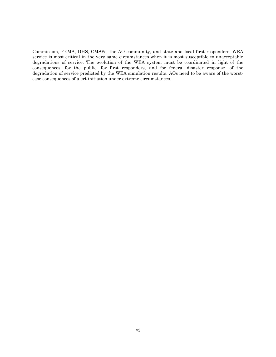Commission, FEMA, DHS, CMSPs, the AO community, and state and local first responders. WEA service is most critical in the very same circumstances when it is most susceptible to unacceptable degradations of service. The evolution of the WEA system must be coordinated in light of the consequences—for the public, for first responders, and for federal disaster response—of the degradation of service predicted by the WEA simulation results. AOs need to be aware of the worstcase consequences of alert initiation under extreme circumstances.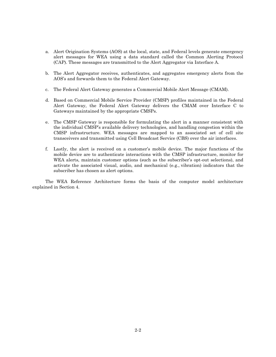- a. Alert Origination Systems (AOS) at the local, state, and Federal levels generate emergency alert messages for WEA using a data standard called the Common Alerting Protocol (CAP). These messages are transmitted to the Alert Aggregator via Interface A.
- b. The Alert Aggregator receives, authenticates, and aggregates emergency alerts from the AOS's and forwards them to the Federal Alert Gateway.
- c. The Federal Alert Gateway generates a Commercial Mobile Alert Message (CMAM).
- d. Based on Commercial Mobile Service Provider (CMSP) profiles maintained in the Federal Alert Gateway, the Federal Alert Gateway delivers the CMAM over Interface C to Gateways maintained by the appropriate CMSPs.
- e. The CMSP Gateway is responsible for formulating the alert in a manner consistent with the individual CMSP's available delivery technologies, and handling congestion within the CMSP infrastructure. WEA messages are mapped to an associated set of cell site transceivers and transmitted using Cell Broadcast Service (CBS) over the air interfaces.
- f. Lastly, the alert is received on a customer's mobile device. The major functions of the mobile device are to authenticate interactions with the CMSP infrastructure, monitor for WEA alerts, maintain customer options (such as the subscriber's opt-out selections), and activate the associated visual, audio, and mechanical (e.g., vibration) indicators that the subscriber has chosen as alert options.

The WEA Reference Architecture forms the basis of the computer model architecture explained in [Section 4.](#page-13-1)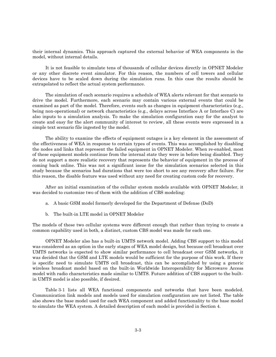their internal dynamics. This approach captured the external behavior of WEA components in the model, without internal details.

It is not feasible to simulate tens of thousands of cellular devices directly in OPNET Modeler or any other discrete event simulator. For this reason, the numbers of cell towers and cellular devices have to be scaled down during the simulation runs. In this case the results should be extrapolated to reflect the actual system performance.

The simulation of each scenario requires a schedule of WEA alerts relevant for that scenario to drive the model. Furthermore, each scenario may contain various external events that could be examined as part of the model. Therefore, events such as changes in equipment characteristics (e.g., being non-operational) or network characteristics (e.g., delays across Interface A or Interface C) are also inputs to a simulation analysis. To make the simulation configuration easy for the analyst to create and easy for the alert community of interest to review, all these events were expressed in a simple text scenario file ingested by the model.

The ability to examine the effects of equipment outages is a key element in the assessment of the effectiveness of WEA in response to certain types of events. This was accomplished by disabling the nodes and links that represent the failed equipment in OPNET Modeler. When re-enabled, most of these equipment models continue from the internal state they were in before being disabled. They do not support a more realistic recovery that represents the behavior of equipment in the process of coming back online. This was not a significant issue for the simulation scenarios selected in this study because the scenarios had durations that were too short to see any recovery after failure. For this reason, the disable feature was used without any need for creating custom code for recovery.

After an initial examination of the cellular system models available with OPNET Modeler, it was decided to customize two of them with the addition of CBS modeling:

- a. A basic GSM model formerly developed for the Department of Defense (DoD)
- b. The built-in LTE model in OPNET Modeler

The models of these two cellular systems were different enough that rather than trying to create a common capability used in both, a distinct, custom CBS model was made for each one.

OPNET Modeler also has a built-in UMTS network model. Adding CBS support to this model was considered as an option in the early stages of WEA model design, but because cell broadcast over UMTS networks is expected to show similar performance to cell broadcast over GSM networks, it was decided that the GSM and LTE models would be sufficient for the purpose of this work. If there is specific need to simulate UMTS cell broadcast, this can be accomplished by using a generic wireless broadcast model based on the built-in Worldwide Interoperability for Microwave Access model with radio characteristics made similar to UMTS. Future addition of CBS support to the builtin UMTS model is also possible, if desired.

[Table 3-1](#page-12-0) lists all WEA functional components and networks that have been modeled. Communication link models and models used for simulation configuration are not listed. The table also shows the base model used for each WEA component and added functionality to the base model to simulate the WEA system. A detailed description of each model is provided in [Section 4.](#page-13-1)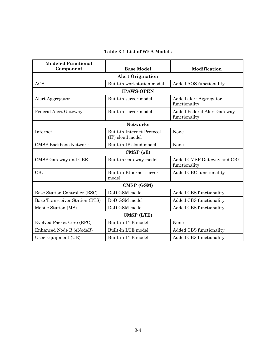## **Table 3-1 List of WEA Models**

<span id="page-12-0"></span>

| <b>Modeled Functional</b><br>Component | <b>Base Model</b>                                     | Modification                                 |  |  |
|----------------------------------------|-------------------------------------------------------|----------------------------------------------|--|--|
|                                        | <b>Alert Origination</b>                              |                                              |  |  |
| AOS                                    | Built-in workstation model                            | <b>Added AOS functionality</b>               |  |  |
| <b>IPAWS-OPEN</b>                      |                                                       |                                              |  |  |
| Alert Aggregator                       | Built-in server model                                 | Added alert Aggregator<br>functionality      |  |  |
| Federal Alert Gateway                  | Built-in server model                                 | Added Federal Alert Gateway<br>functionality |  |  |
| <b>Networks</b>                        |                                                       |                                              |  |  |
| Internet                               | <b>Built-in Internet Protocol</b><br>(IP) cloud model | None                                         |  |  |
| <b>CMSP Backbone Network</b>           | Built-in IP cloud model                               | None                                         |  |  |
| CMSP (all)                             |                                                       |                                              |  |  |
| CMSP Gateway and CBE                   | Built-in Gateway model                                | Added CMSP Gateway and CBE<br>functionality  |  |  |
| CBC                                    | Built-in Ethernet server<br>model                     | Added CBC functionality                      |  |  |
| CMSP (GSM)                             |                                                       |                                              |  |  |
| Base Station Controller (BSC)          | DoD GSM model                                         | Added CBS functionality                      |  |  |
| Base Transceiver Station (BTS)         | DoD GSM model                                         | Added CBS functionality                      |  |  |
| Mobile Station (MS)                    | DoD GSM model                                         | Added CBS functionality                      |  |  |
| CMSP (LTE)                             |                                                       |                                              |  |  |
| Evolved Packet Core (EPC)              | Built-in LTE model                                    | None                                         |  |  |
| Enhanced Node B (eNodeB)               | Built-in LTE model                                    | Added CBS functionality                      |  |  |
| User Equipment (UE)                    | Built-in LTE model                                    | Added CBS functionality                      |  |  |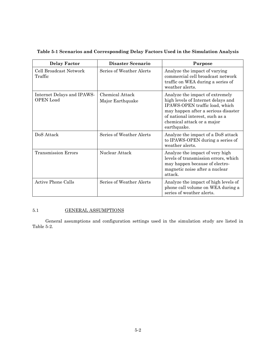their internal dynamics. This approach captured the external behavior of WEA components in the model, without internal details.

It is not feasible to simulate tens of thousands of cellular devices directly in OPNET Modeler or any other discrete event simulator. For this reason, the numbers of cell towers and cellular devices have to be scaled down during the simulation runs. In this case the results should be extrapolated to reflect the actual system performance.

The simulation of each scenario requires a schedule of WEA alerts relevant for that scenario to drive the model. Furthermore, each scenario may contain various external events that could be examined as part of the model. Therefore, events such as changes in equipment characteristics (e.g., being non-operational) or network characteristics (e.g., delays across Interface A or Interface C) are also inputs to a simulation analysis. To make the simulation configuration easy for the analyst to create and easy for the alert community of interest to review, all these events were expressed in a simple text scenario file ingested by the model.

The ability to examine the effects of equipment outages is a key element in the assessment of the effectiveness of WEA in response to certain types of events. This was accomplished by disabling the nodes and links that represent the failed equipment in OPNET Modeler. When re-enabled, most of these equipment models continue from the internal state they were in before being disabled. They do not support a more realistic recovery that represents the behavior of equipment in the process of coming back online. This was not a significant issue for the simulation scenarios selected in this study because the scenarios had durations that were too short to see any recovery after failure. For this reason, the disable feature was used without any need for creating custom code for recovery.

After an initial examination of the cellular system models available with OPNET Modeler, it was decided to customize two of them with the addition of CBS modeling:

- a. A basic GSM model formerly developed for the Department of Defense (DoD)
- $\mathbf{b}$ . The built-in LTE model in OPNET Modeler

The models of these two cellular systems were different enough that rather than trying to create a common capability used in both, a distinct, custom CBS model was made for each one.

OPNET Modeler also has a built-in UMTS network model. Adding CBS support to this model was considered as an option in the early stages of WEA model design, but because cell broadcast over UMTS networks is expected to show similar performance to cell broadcast over GSM networks, it was decided that the GSM and LTE models would be sufficient for the purpose of this work. If there is specific need to simulate UMTS cell broadcast, this can be accomplished by using a generic wireless broadcast model based on the built-in Worldwide Interoperability for Microwave Access model with radio characteristics made similar to UMTS. Future addition of CBS support to the builtin UMTS model is also possible, if desired.

Table 3-1 lists all WEA functional components and networks that have been modeled. Communication link models and models used for simulation configuration are not listed. The table also shows the base model used for each WEA component and added functionality to the base model to simulate the WEA system. A detailed description of each model is provided in Section 4.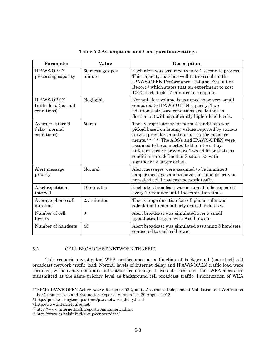<span id="page-23-1"></span>

| Parameter                                                | Value                     | Description                                                                                                                                                                                                                                                                                                                                                                                          |
|----------------------------------------------------------|---------------------------|------------------------------------------------------------------------------------------------------------------------------------------------------------------------------------------------------------------------------------------------------------------------------------------------------------------------------------------------------------------------------------------------------|
| <b>IPAWS-OPEN</b><br>processing capacity                 | 60 messages per<br>minute | Each alert was assumed to take 1 second to process.<br>This capacity matches well to the result in the<br><b>IPAWS-OPEN Performance Test and Evaluation</b><br>Report, <sup>7</sup> which states that an experiment to post<br>1000 alerts took 17 minutes to complete.                                                                                                                              |
| <b>IPAWS-OPEN</b><br>traffic load (normal<br>conditions) | Negligible                | Normal alert volume is assumed to be very small<br>compared to IPAWS-OPEN capacity. Two<br>additional stressed conditions are defined in<br>Section 5.3 with significantly higher load levels.                                                                                                                                                                                                       |
| Average Internet<br>delay (normal<br>conditions)         | $50 \text{ ms}$           | The average latency for normal conditions was<br>picked based on latency values reported by various<br>service providers and Internet traffic measure-<br>ments. <sup>8 9 10 11</sup> The AOS's and IPAWS-OPEN were<br>assumed to be connected to the Internet by<br>different service providers. Two additional stress<br>conditions are defined in Section 5.3 with<br>significantly larger delay. |
| Alert message<br>priority                                | Normal                    | Alert messages were assumed to be imminent<br>danger messages and to have the same priority as<br>non-alert cell broadcast network traffic.                                                                                                                                                                                                                                                          |
| Alert repetition<br>interval                             | 10 minutes                | Each alert broadcast was assumed to be repeated<br>every 10 minutes until the expiration time.                                                                                                                                                                                                                                                                                                       |
| Average phone call<br>duration                           | 2.7 minutes               | The average duration for cell phone calls was<br>calculated from a publicly available dataset.                                                                                                                                                                                                                                                                                                       |
| Number of cell<br>towers                                 | 9                         | Alert broadcast was simulated over a small<br>hypothetical region with 9 cell towers.                                                                                                                                                                                                                                                                                                                |
| Number of handsets                                       | 45                        | Alert broadcast was simulated assuming 5 handsets<br>connected to each cell tower.                                                                                                                                                                                                                                                                                                                   |

|  |  |  |  |  |  | Table 5-2 Assumptions and Configuration Settings |  |
|--|--|--|--|--|--|--------------------------------------------------|--|
|--|--|--|--|--|--|--------------------------------------------------|--|

#### <span id="page-23-0"></span>5.2 CELL BROADCAST NETWORK TRAFFIC

This scenario investigated WEA performance as a function of background (non-alert) cell broadcast network traffic load. Normal levels of Internet delay and IPAWS-OPEN traffic load were assumed, without any simulated infrastructure damage. It was also assumed that WEA alerts are transmitted at the same priority level as background cell broadcast traffic. Prioritization of WEA

l

<sup>7</sup> "FEMA IPAWS-OPEN Active-Active Release 3.02 Quality Assurance Independent Validation and Verification Performance Test and Evaluation Report," Version 1.0, 29 August 2012.

<sup>8</sup> [http://ipnetwork.bgtmo.ip.att.net/pws/network\\_delay.html](http://ipnetwork.bgtmo.ip.att.net/pws/network_delay.html)

<sup>9</sup> <http://www.internetpulse.net/>

<sup>10</sup> <http://www.internettrafficreport.com/namerica.htm>

<sup>11</sup> http://www.cs.helsinki.fi/group/context/data/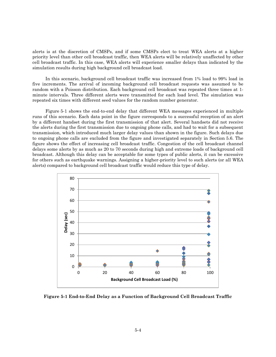alerts is at the discretion of CMSPs, and if some CMSPs elect to treat WEA alerts at a higher priority level than other cell broadcast traffic, then WEA alerts will be relatively unaffected by other cell broadcast traffic. In this case, WEA alerts will experience smaller delays than indicated by the simulation results during high background cell broadcast load.

In this scenario, background cell broadcast traffic was increased from 1% load to 99% load in five increments. The arrival of incoming background cell broadcast requests was assumed to be random with a Poisson distribution. Each background cell broadcast was repeated three times at 1 minute intervals. Three different alerts were transmitted for each load level. The simulation was repeated six times with different seed values for the random number generator.

[Figure 5-1](#page-24-0) shows the end-to-end delay that different WEA messages experienced in multiple runs of this scenario. Each data point in the figure corresponds to a successful reception of an alert by a different handset during the first transmission of that alert. Several handsets did not receive the alerts during the first transmission due to ongoing phone calls, and had to wait for a subsequent transmission, which introduced much larger delay values than shown in the figure. Such delays due to ongoing phone calls are excluded from the figure and investigated separately in Section [5.6.](#page-30-0) The figure shows the effect of increasing cell broadcast traffic. Congestion of the cell broadcast channel delays some alerts by as much as 20 to 70 seconds during high and extreme loads of background cell broadcast. Although this delay can be acceptable for some types of public alerts, it can be excessive for others such as earthquake warnings. Assigning a higher-priority level to such alerts (or all WEA alerts) compared to background cell broadcast traffic would reduce this type of delay.



<span id="page-24-0"></span>**Figure 5-1 End-to-End Delay as a Function of Background Cell Broadcast Traffic**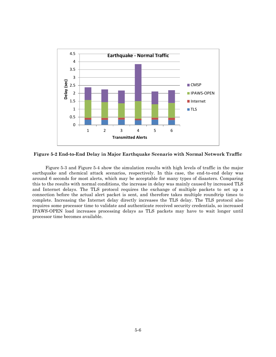

**Figure 5-2 End-to-End Delay in Major Earthquake Scenario with Normal Network Traffic** 

[Figure 5-3](#page-27-0) and [Figure 5-4](#page-27-1) show the simulation results with high levels of traffic in the major earthquake and chemical attack scenarios, respectively. In this case, the end-to-end delay was around 6 seconds for most alerts, which may be acceptable for many types of disasters. Comparing this to the results with normal conditions, the increase in delay was mainly caused by increased TLS and Internet delays. The TLS protocol requires the exchange of multiple packets to set up a connection before the actual alert packet is sent, and therefore takes multiple roundtrip times to complete. Increasing the Internet delay directly increases the TLS delay. The TLS protocol also requires some processor time to validate and authenticate received security credentials, so increased IPAWS-OPEN load increases processing delays as TLS packets may have to wait longer until processor time becomes available.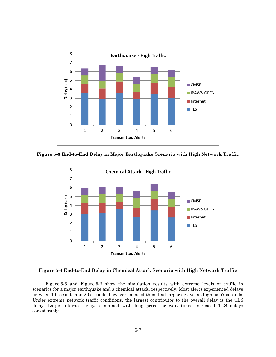

<span id="page-27-0"></span>**Figure 5-3 End-to-End Delay in Major Earthquake Scenario with High Network Traffic** 



<span id="page-27-1"></span>**Figure 5-4 End-to-End Delay in Chemical Attack Scenario with High Network Traffic** 

[Figure 5-5](#page-28-1) and [Figure 5-6](#page-28-2) show the simulation results with extreme levels of traffic in scenarios for a major earthquake and a chemical attack, respectively. Most alerts experienced delays between 10 seconds and 20 seconds; however, some of them had larger delays, as high as 57 seconds. Under extreme network traffic conditions, the largest contributor to the overall delay is the TLS delay. Large Internet delays combined with long processor wait times increased TLS delays considerably.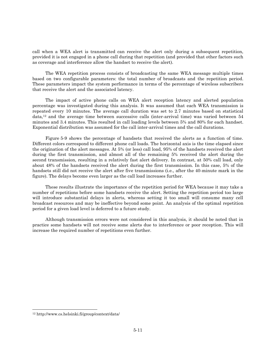call when a WEA alert is transmitted can receive the alert only during a subsequent repetition, provided it is not engaged in a phone call during that repetition (and provided that other factors such as coverage and interference allow the handset to receive the alert).

The WEA repetition process consists of broadcasting the same WEA message multiple times based on two configurable parameters: the total number of broadcasts and the repetition period. These parameters impact the system performance in terms of the percentage of wireless subscribers that receive the alert and the associated latency.

The impact of active phone calls on WEA alert reception latency and alerted population percentage was investigated during this analysis. It was assumed that each WEA transmission is repeated every 10 minutes. The average call duration was set to 2.7 minutes based on statistical data,12 and the average time between successive calls (inter-arrival time) was varied between 54 minutes and 3.4 minutes. This resulted in call loading levels between 5% and 80% for each handset. Exponential distribution was assumed for the call inter-arrival times and the call durations.

[Figure 5-9](#page-32-0) shows the percentage of handsets that received the alerts as a function of time. Different colors correspond to different phone call loads. The horizontal axis is the time elapsed since the origination of the alert messages. At 5% (or less) call load, 95% of the handsets received the alert during the first transmission, and almost all of the remaining 5% received the alert during the second transmission, resulting in a relatively fast alert delivery. In contrast, at 50% call load, only about 48% of the handsets received the alert during the first transmission. In this case, 5% of the handsets still did not receive the alert after five transmissions (i.e., after the 40-minute mark in the figure). The delays become even larger as the call load increases further.

These results illustrate the importance of the repetition period for WEA because it may take a number of repetitions before some handsets receive the alert. Setting the repetition period too large will introduce substantial delays in alerts, whereas setting it too small will consume many cell broadcast resources and may be ineffective beyond some point. An analysis of the optimal repetition period for a given load level is deferred to a future study.

Although transmission errors were not considered in this analysis, it should be noted that in practice some handsets will not receive some alerts due to interference or poor reception. This will increase the required number of repetitions even further.

l

<sup>12</sup> <http://www.cs.helsinki.fi/group/context/data/>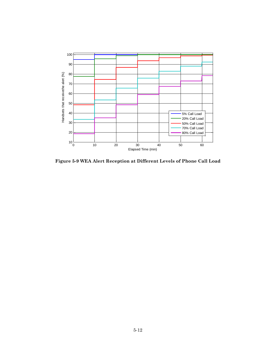

<span id="page-32-0"></span>**Figure 5-9 WEA Alert Reception at Different Levels of Phone Call Load**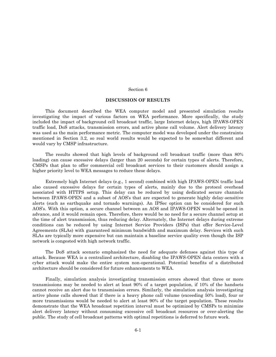#### Section 6

#### **DISCUSSION OF RESULTS**

<span id="page-33-0"></span>This document described the WEA computer model and presented simulation results investigating the impact of various factors on WEA performance. More specifically, the study included the impact of background cell broadcast traffic, large Internet delays, high IPAWS-OPEN traffic load, DoS attacks, transmission errors, and active phone call volume. Alert delivery latency was used as the main performance metric. The computer model was developed under the constraints mentioned in Section 3.2, so real world results would be expected to be somewhat different and would vary by CMSP infrastructure.

The results showed that high levels of background cell broadcast traffic (more than 80% loading) can cause excessive delays (larger than 20 seconds) for certain types of alerts. Therefore, CMSPs that plan to offer commercial cell broadcast services to their customers should assign a higher priority level to WEA messages to reduce these delays.

Extremely high Internet delays (e.g., 1 second) combined with high IPAWS-OPEN traffic load also caused excessive delays for certain types of alerts, mainly due to the protocol overhead associated with HTTPS setup. This delay can be reduced by using dedicated secure channels between IPAWS-OPEN and a subset of AOS's that are expected to generate highly delay-sensitive alerts (such as earthquake and tornado warnings). An IPSec option can be considered for such AOS's. With this option, a secure channel between an AOS and IPAWS-OPEN would be opened in advance, and it would remain open. Therefore, there would be no need for a secure channel setup at the time of alert transmission, thus reducing delay. Alternately, the Internet delays during extreme conditions can be reduced by using Internet Service Providers (ISPs) that offer Service-Level Agreements (SLAs) with guaranteed minimum bandwidth and maximum delay. Services with such SLAs are typically more expensive but can maintain a baseline service quality even though the ISP network is congested with high network traffic.

The DoS attack scenario emphasized the need for adequate defenses against this type of attack. Because WEA is a centralized architecture, disabling the IPAWS-OPEN data centers with a cyber attack would make the entire system non-operational. Potential benefits of a distributed architecture should be considered for future enhancements to WEA.

Finally, simulation analysis investigating transmission errors showed that three or more transmissions may be needed to alert at least 90% of a target population, if 10% of the handsets cannot receive an alert due to transmission errors. Similarly, the simulation analysis investigating active phone calls showed that if there is a heavy phone call volume (exceeding 50% load), four or more transmissions would be needed to alert at least 90% of the target population. These results demonstrate that the WEA broadcast repetition interval must be optimized by CMSPs to minimize alert delivery latency without consuming excessive cell broadcast resources or over-alerting the public. The study of cell broadcast patterns with optimal repetitions is deferred to future work.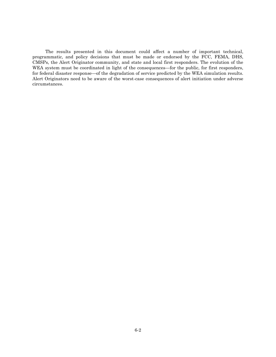The results presented in this document could affect a number of important technical, programmatic, and policy decisions that must be made or endorsed by the FCC, FEMA, DHS, CMSPs, the Alert Originator community, and state and local first responders. The evolution of the WEA system must be coordinated in light of the consequences—for the public, for first responders, for federal disaster response—of the degradation of service predicted by the WEA simulation results. Alert Originators need to be aware of the worst-case consequences of alert initiation under adverse circumstances.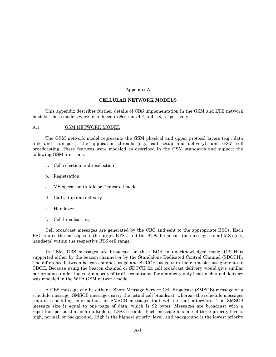#### Appendix A

#### **CELLULAR NETWORK MODELS**

<span id="page-35-0"></span>This appendix describes further details of CBS implementation in the GSM and LTE network models. These models were introduced in Sections [4.7](#page-17-1) and [4.8,](#page-18-0) respectively.

#### A.1 GSM NETWORK MODEL

The GSM network model represents the GSM physical and upper protocol layers (e.g., data link and transport), the application threads (e.g., call setup and delivery), and GSM cell broadcasting. These features were modeled as described in the GSM standards and support the following GSM functions:

- a. Cell selection and reselection
- b. Registration
- c. MS operation in Idle or Dedicated mode
- d. Call setup and delivery
- e. Handover
- f. Cell broadcasting

Cell broadcast messages are generated by the CBC and sent to the appropriate BSCs. Each BSC routes the messages to the target BTSs, and the BTSs broadcast the messages to all MSs (i.e., handsets) within the respective BTS cell range.

In GSM, CBS messages are broadcast on the CBCH in unacknowledged mode. CBCH is supported either by the beacon channel or by the Standalone Dedicated Control Channel (SDCCH). The difference between beacon channel usage and SDCCH usage is in their timeslot assignments to CBCH. Because using the beacon channel or SDCCH for cell broadcast delivery would give similar performance under the vast majority of traffic conditions, for simplicity only beacon channel delivery was modeled in the WEA GSM network model.

A CBS message can be either a Short Message Service Cell Broadcast (SMSCB) message or a schedule message. SMSCB messages carry the actual cell broadcast, whereas the schedule messages contain scheduling information for SMSCB messages that will be sent afterward. The SMSCB message size is equal to one page of data, which is 92 bytes. Messages are broadcast with a repetition period that is a multiple of 1.883 seconds. Each message has one of three priority levels: high, normal, or background. High is the highest priority level, and background is the lowest priority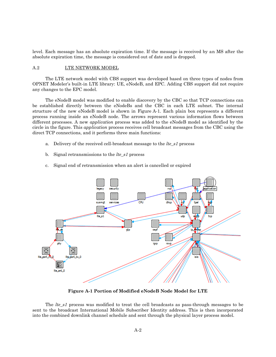level. Each message has an absolute expiration time. If the message is received by an MS after the absolute expiration time, the message is considered out of date and is dropped.

#### A.2 LTE NETWORK MODEL

The LTE network model with CBS support was developed based on three types of nodes from OPNET Modeler's built-in LTE library: UE, eNodeB, and EPC. Adding CBS support did not require any changes to the EPC model.

The eNodeB model was modified to enable discovery by the CBC so that TCP connections can be established directly between the eNodeBs and the CBC in each LTE subnet. The internal structure of the new eNodeB model is shown in [Figure A-1.](#page-36-0) Each plain box represents a different process running inside an eNodeB node. The arrows represent various information flows between different processes. A new *application* process was added to the eNodeB model as identified by the circle in the figure. This *application* process receives cell broadcast messages from the CBC using the direct TCP connections, and it performs three main functions:

- a. Delivery of the received cell-broadcast message to the *lte\_s1* process
- b. Signal retransmissions to the *lte\_s1* process
- c. Signal end of retransmission when an alert is cancelled or expired



**Figure A-1 Portion of Modified eNodeB Node Model for LTE** 

<span id="page-36-0"></span>The *lte\_s1* process was modified to treat the cell broadcasts as pass-through messages to be sent to the broadcast International Mobile Subscriber Identity address. This is then incorporated into the combined downlink channel schedule and sent through the physical layer process model.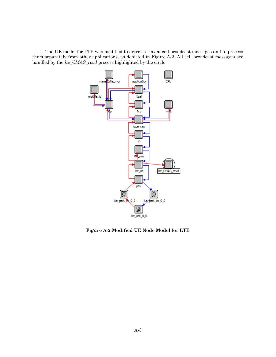The UE model for LTE was modified to detect received cell broadcast messages and to process them separately from other applications, as depicted in [Figure A-2.](#page-37-0) All cell broadcast messages are handled by the *lte\_CMAS\_rcvd* process highlighted by the circle.



<span id="page-37-0"></span>**Figure A-2 Modified UE Node Model for LTE**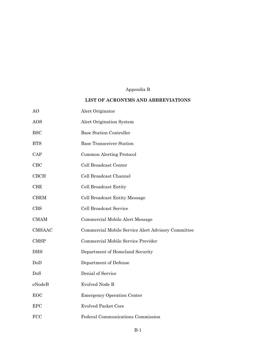# Appendix B

## **LIST OF ACRONYMS AND ABBREVIATIONS**

<span id="page-38-0"></span>

| AO            | Alert Originator                                   |
|---------------|----------------------------------------------------|
| AOS           | Alert Origination System                           |
| <b>BSC</b>    | <b>Base Station Controller</b>                     |
| <b>BTS</b>    | <b>Base Transceiver Station</b>                    |
| CAP           | Common Alerting Protocol                           |
| $_{\rm CBC}$  | Cell Broadcast Center                              |
| <b>CBCH</b>   | Cell Broadcast Channel                             |
| CBE           | Cell Broadcast Entity                              |
| <b>CBEM</b>   | Cell Broadcast Entity Message                      |
| <b>CBS</b>    | Cell Broadcast Service                             |
| <b>CMAM</b>   | Commercial Mobile Alert Message                    |
| <b>CMSAAC</b> | Commercial Mobile Service Alert Advisory Committee |
| <b>CMSP</b>   | Commercial Mobile Service Provider                 |
| <b>DHS</b>    | Department of Homeland Security                    |
| DoD           | Department of Defense                              |
| DoS           | Denial of Service                                  |
| eNodeB        | <b>Evolved Node B</b>                              |
| <b>EOC</b>    | <b>Emergency Operation Center</b>                  |
| <b>EPC</b>    | <b>Evolved Packet Core</b>                         |
| <b>FCC</b>    | Federal Communications Commission                  |